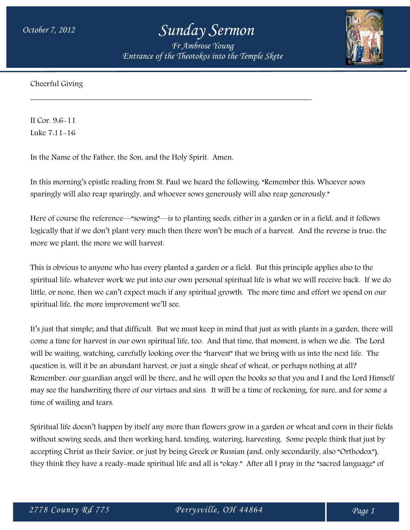## *October 7, 2012 Sunday Sermon*

*Fr Ambrose Young Entrance of the Theotokos into the Temple Skete*

\_\_\_\_\_\_\_\_\_\_\_\_\_\_\_\_\_\_\_\_\_\_\_\_\_\_\_\_\_\_\_\_\_\_\_\_\_\_\_\_\_\_\_\_\_\_\_\_\_\_\_\_\_\_\_\_\_\_\_\_\_\_\_\_\_\_\_\_\_\_



Cheerful Giving

II Cor. 9:6-11 Luke 7:11-16

In the Name of the Father, the Son, and the Holy Spirit. Amen.

In this morning's epistle reading from St. Paul we heard the following: "Remember this: Whoever sows sparingly will also reap sparingly, and whoever sows generously will also reap generously."

Here of course the reference—"sowing"—is to planting seeds, either in a garden or in a field, and it follows logically that if we don't plant very much then there won't be much of a harvest. And the reverse is true: the more we plant, the more we will harvest.

This is obvious to anyone who has every planted a garden or a field. But this principle applies also to the spiritual life: whatever work we put into our own personal spiritual life is what we will receive back. If we do little, or none, then we can't expect much if any spiritual growth. The more time and effort we spend on our spiritual life, the more improvement we'll see.

It's just that simple; and that difficult. But we must keep in mind that just as with plants in a garden, there will come a time for harvest in our own spiritual life, too. And that time, that moment, is when we die. The Lord will be waiting, watching, carefully looking over the "harvest" that we bring with us into the next life. The question is, will it be an abundant harvest, or just a single sheaf of wheat, or perhaps nothing at all? Remember: our guardian angel will be there, and he will open the books so that you and I and the Lord Himself may see the handwriting there of our virtues and sins. It will be a time of reckoning, for sure, and for some a time of wailing and tears.

Spiritual life doesn't happen by itself any more than flowers grow in a garden or wheat and corn in their fields without sowing seeds, and then working hard, tending, watering, harvesting. Some people think that just by accepting Christ as their Savior, or just by being Greek or Russian (and, only secondarily, also "Orthodox"), they think they have a ready-made spiritual life and all is "okay." After all I pray in the "sacred language" of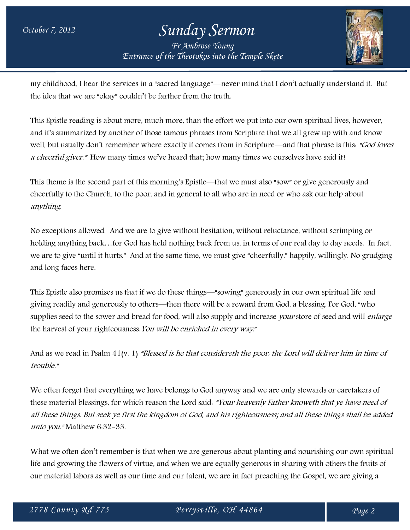## *October 7, 2012 Sunday Sermon Fr Ambrose Young Entrance of the Theotokos into the Temple Skete*



my childhood, I hear the services in a "sacred language"—never mind that I don't actually understand it. But the idea that we are "okay" couldn't be farther from the truth.

This Epistle reading is about more, much more, than the effort we put into our own spiritual lives, however, and it's summarized by another of those famous phrases from Scripture that we all grew up with and know well, but usually don't remember where exactly it comes from in Scripture—and that phrase is this. "God loves" a cheerful giver." How many times we've heard that; how many times we ourselves have said it!

This theme is the second part of this morning's Epistle—that we must also "sow" or give generously and cheerfully to the Church, to the poor, and in general to all who are in need or who ask our help about anything.

No exceptions allowed. And we are to give without hesitation, without reluctance, without scrimping or holding anything back…for God has held nothing back from us, in terms of our real day to day needs. In fact, we are to give "until it hurts." And at the same time, we must give "cheerfully," happily, willingly. No grudging and long faces here.

This Epistle also promises us that if we do these things—"sowing" generously in our own spiritual life and giving readily and generously to others—then there will be a reward from God, a blessing. For God, "who supplies seed to the sower and bread for food, will also supply and increase your store of seed and will enlarge the harvest of your righteousness. You will be enriched in every way."

And as we read in Psalm 41(v. 1) "Blessed is he that considereth the poor: the Lord will deliver him in time of trouble."

We often forget that everything we have belongs to God anyway and we are only stewards or caretakers of these material blessings, for which reason the Lord said: "Your heavenly Father knoweth that ye have need of all these things. But seek ye first the kingdom of God, and his righteousness; and all these things shall be added unto you." Matthew 6:32-33.

What we often don't remember is that when we are generous about planting and nourishing our own spiritual life and growing the flowers of virtue, and when we are equally generous in sharing with others the fruits of our material labors as well as our time and our talent, we are in fact preaching the Gospel, we are giving a